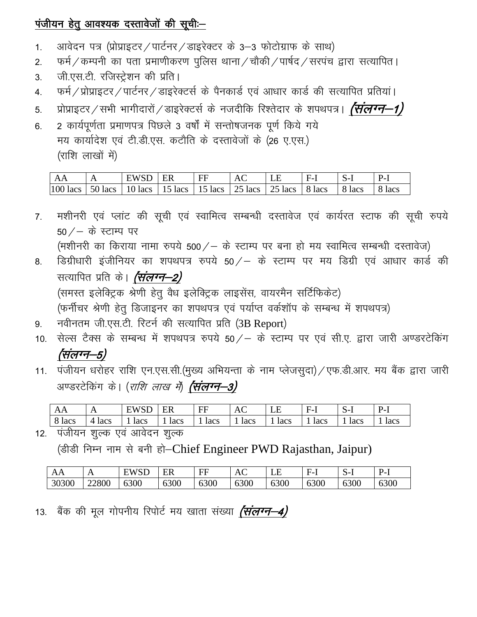## पंजीयन हेतु आवश्यक दस्तावेजों की सूची:-

- आवेदन पत्र (प्रोप्राइटर / पार्टनर / डाइरेक्टर के 3-3 फोटोग्राफ के साथ)  $1.$
- फर्म / कम्पनी का पता प्रमाणीकरण पुलिस थाना / चौकी / पार्षद / सरपंच द्वारा सत्यापित ।  $\overline{2}$ .
- जी.एस.टी. रजिस्ट्रेशन की प्रति।  $3<sub>1</sub>$
- फर्म / प्रोप्राइटर / पार्टनर / डाइरेक्टर्स के पैनकार्ड एवं आधार कार्ड की सत्यापित प्रतियां। 4.
- प्रोप्राइटर ⁄ सभी भागीदारों ⁄ डाइरेक्टर्स के नजदीकि रिश्तेदार के शपथपत्र। *(संलग्न—1)* 5.
- 2 कार्यपूर्णता प्रमाणपत्र पिछले 3 वर्षों में सन्तोषजनक पूर्ण किये गये 6. मय कार्यादेश एवं टी.डी.एस. कटौति के दस्तावेजों के (26 ए.एस.) (राशि लाखों में)

| AA         |                         | WSD<br>н | ER      | FF      | AC                   | نلىلا   | ₩.,    | ∵−ن  | $\boldsymbol{\nu}_{-}$ |
|------------|-------------------------|----------|---------|---------|----------------------|---------|--------|------|------------------------|
| $100$ lacs | lacs<br>50 <sup>°</sup> | 10 lacs  | 15 lacs | 15 lacs | 251<br>lacs (<br>ل ک | 25 lacs | 8 lacs | lacs | ັ<br>lacs              |

- मशीनरी एवं प्लांट की सूची एवं स्वामित्व सम्बन्धी दस्तावेज एवं कार्यरत स्टाफ की सूची रुपये  $7<sub>1</sub>$  $50/–$  के स्टाम्प पर (मशीनरी का किराया नामा रुपये 500/ – के स्टाम्प पर बना हो मय स्वामित्व सम्बन्धी दस्तावेज)
- डिग्रीधारी इंजीनियर का शपथपत्र रुपये 50/ के स्टाम्प पर मय डिग्री एवं आधार कार्ड की 8. सत्यापित प्रति के। *(संलग्न–2)*

(समस्त इलेक्ट्रिक श्रेणी हेतू वैध इलेक्ट्रिक लाइसेंस, वायरमैन सर्टिफिकेट)

(फर्नीचर श्रेणी हेतु डिजाइनर का शपथपत्र एवं पर्याप्त वर्कशॉप के सम्बन्ध में शपथपत्र)

- नवीनतम जी.एस.टी. रिटर्न की सत्यापित प्रति (3B Report) 9.
- 10. सेल्स टैक्स के सम्बन्ध में शपथपत्र रुपये 50 / के स्टाम्प पर एवं सी.ए. द्वारा जारी अण्डरटेकिंग (संलग्न–5)
- 11. पंजीयन धरोहर राशि एन.एस.सी.(मुख्य अभियन्ता के नाम प्लेजसूदा) / एफ.डी.आर. मय बैंक द्वारा जारी अण्डरटेकिंग के। (*राशि लाख में) (संलग्न-3)*

| AA       | $\mathbf{v}$     | TITI0D<br><b>W</b><br>بلاد | ER   | FF<br>. . | $\mathbf{A}$ | பப   | −<br>$H_{-1}$ | ∵−ل  | ້ີ້  |
|----------|------------------|----------------------------|------|-----------|--------------|------|---------------|------|------|
| <br>lacs | lacs<br>$\Delta$ | lacs                       | lacs | lacs      | lacs         | lacs | lacs          | lacs | lacs |

12. पंजीयन शुल्क एवं आवेदन शुल्क

(डीडी निम्न नाम से बनी हो-Chief Engineer PWD Rajasthan, Jaipur)

| AА    | . .   | <b>UITIOD</b><br>$\mathbf{M}$<br>∟ט | <b>DD</b><br>EК | FF   | $\sqrt{ }$<br>AC | LC   | -<br>$H_{-1}$ | $\sim$<br>∵−دب | $\sqrt{ }$<br>◡<br>. |
|-------|-------|-------------------------------------|-----------------|------|------------------|------|---------------|----------------|----------------------|
| 30300 | 22800 | 6300                                | 6300            | 6300 | 6300             | 6300 | 6300          | 6300           | 6300                 |

13. बैंक की मूल गोपनीय रिपोर्ट मय खाता संख्या *(संलग्न-4)*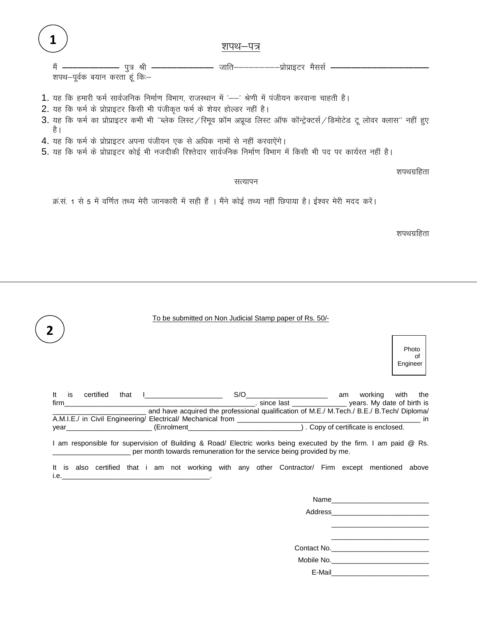1 शपथ–पत्र मैं – ————— पुत्र श्री – शपथ-पूर्वक बयान करता हूं कि:-1. यह कि हमारी फर्म सार्वजनिक निर्माण विभाग, राजस्थान में '--' श्रेणी में पंजीयन करवाना चाहती है। 2. यह कि फर्म के प्रोप्राइटर किसी भी पंजीकृत फर्म के शेयर होल्डर नहीं है। 3. यह कि फर्म का प्रोप्राइटर कभी भी "ब्लेक लिस्ट/रिमूव फ्रॉम अप्रूव्ड लिस्ट ऑफ कॉन्ट्रेक्टर्स/डिमोटेड टू लोवर क्लास" नहीं हुए है ।

- 4. यह कि फर्म के प्रोप्राइटर अपना पंजीयन एक से अधिक नामों से नहीं करवाऐंगे।
- 5. यह कि फर्म के प्रोप्राइटर कोई भी नजदीकी रिश्तेदार सार्वजनिक निर्माण विभाग में किसी भी पद पर कार्यरत नहीं है।

शपथग्रहिता

सत्यापन

क्र.सं. 1 से 5 में वर्णित तथ्य मेरी जानकारी में सही हैं । मैंने कोई तथ्य नहीं छिपाया है। ईश्वर मेरी मदद करें।

शपथग्रहिता

|             | To be submitted on Non Judicial Stamp paper of Rs. 50/-                                                                                                                                 |  |                                                                                                                                                                                                                                |  |  |
|-------------|-----------------------------------------------------------------------------------------------------------------------------------------------------------------------------------------|--|--------------------------------------------------------------------------------------------------------------------------------------------------------------------------------------------------------------------------------|--|--|
|             |                                                                                                                                                                                         |  | Photo<br>οf<br>Engineer                                                                                                                                                                                                        |  |  |
| It.<br>firm | is certified that I_______________________<br>example and the state of birth is since last the state of birth is                                                                        |  | and have acquired the professional qualification of M.E./ M.Tech./ B.E./ B.Tech/ Diploma/                                                                                                                                      |  |  |
|             | I am responsible for supervision of Building & Road/ Electric works being executed by the firm. I am paid @ Rs.<br>per month towards remuneration for the service being provided by me. |  |                                                                                                                                                                                                                                |  |  |
|             | It is also certified that i am not working with any other Contractor/ Firm except mentioned above                                                                                       |  |                                                                                                                                                                                                                                |  |  |
|             |                                                                                                                                                                                         |  | Name and the contract of the contract of the contract of the contract of the contract of the contract of the contract of the contract of the contract of the contract of the contract of the contract of the contract of the c |  |  |

Address and the contract of the contract of the contract of the contract of the contract of the contract of the

| Mobile No. |  |  |
|------------|--|--|